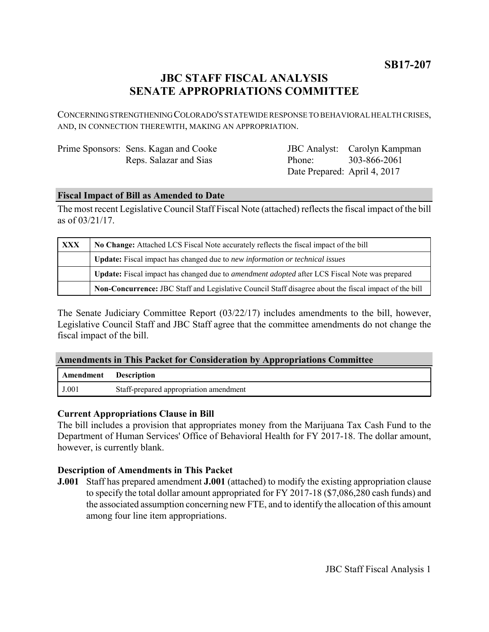**SB17-207**

# **JBC STAFF FISCAL ANALYSIS SENATE APPROPRIATIONS COMMITTEE**

CONCERNING STRENGTHENING COLORADO'S STATEWIDE RESPONSE TO BEHAVIORAL HEALTH CRISES, AND, IN CONNECTION THEREWITH, MAKING AN APPROPRIATION.

| Prime Sponsors: Sens. Kagan and Cooke |
|---------------------------------------|
| Reps. Salazar and Sias                |

JBC Analyst: Carolyn Kampman Phone: Date Prepared: April 4, 2017 303-866-2061

### **Fiscal Impact of Bill as Amended to Date**

The most recent Legislative Council Staff Fiscal Note (attached) reflects the fiscal impact of the bill as of 03/21/17.

| <b>XXX</b> | No Change: Attached LCS Fiscal Note accurately reflects the fiscal impact of the bill                 |  |
|------------|-------------------------------------------------------------------------------------------------------|--|
|            | Update: Fiscal impact has changed due to new information or technical issues                          |  |
|            | Update: Fiscal impact has changed due to <i>amendment adopted</i> after LCS Fiscal Note was prepared  |  |
|            | Non-Concurrence: JBC Staff and Legislative Council Staff disagree about the fiscal impact of the bill |  |

The Senate Judiciary Committee Report (03/22/17) includes amendments to the bill, however, Legislative Council Staff and JBC Staff agree that the committee amendments do not change the fiscal impact of the bill.

#### **Amendments in This Packet for Consideration by Appropriations Committee**

| Amendment | <b>Description</b>                     |
|-----------|----------------------------------------|
| J.001     | Staff-prepared appropriation amendment |

#### **Current Appropriations Clause in Bill**

The bill includes a provision that appropriates money from the Marijuana Tax Cash Fund to the Department of Human Services' Office of Behavioral Health for FY 2017-18. The dollar amount, however, is currently blank.

# **Description of Amendments in This Packet**

**J.001** Staff has prepared amendment **J.001** (attached) to modify the existing appropriation clause to specify the total dollar amount appropriated for FY 2017-18 (\$7,086,280 cash funds) and the associated assumption concerning new FTE, and to identify the allocation of this amount among four line item appropriations.